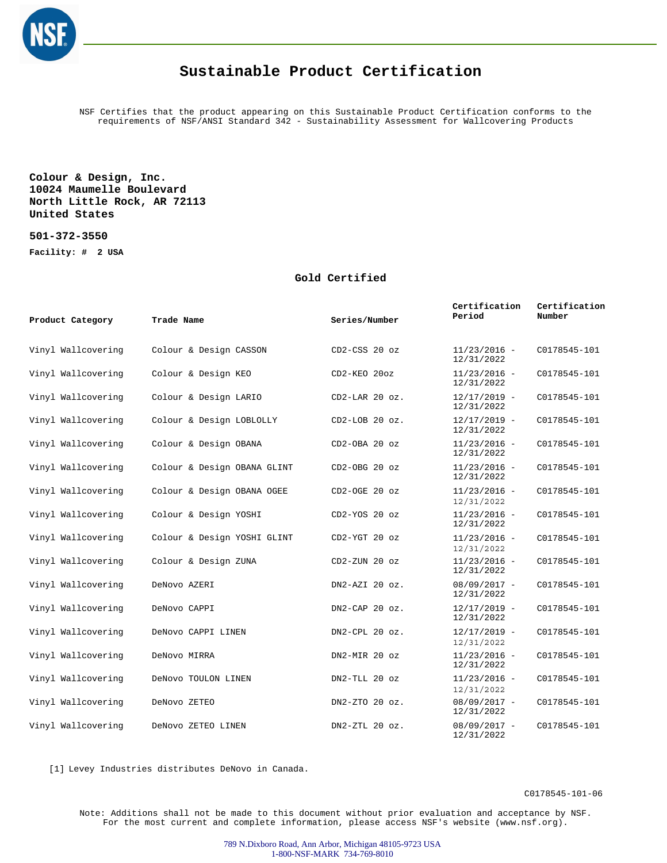

## **Sustainable Product Certification**

NSF Certifies that the product appearing on this Sustainable Product Certification conforms to the requirements of NSF/ANSI Standard 342 - Sustainability Assessment for Wallcovering Products

## **Colour & Design, Inc. 10024 Maumelle Boulevard North Little Rock, AR 72113 United States**

**501-372-3550 Facility: # 2 USA**

## **Gold Certified**

| Product Category   | Trade Name                  | Series/Number      | Certification<br>Period      | Certification<br>Number |
|--------------------|-----------------------------|--------------------|------------------------------|-------------------------|
| Vinyl Wallcovering | Colour & Design CASSON      | CD2-CSS 20 oz      | $11/23/2016 -$<br>12/31/2022 | C0178545-101            |
| Vinyl Wallcovering | Colour & Design KEO         | CD2-KEO 20oz       | $11/23/2016 -$<br>12/31/2022 | C0178545-101            |
| Vinyl Wallcovering | Colour & Design LARIO       | $CD2-LAR$ 20 $oz.$ | $12/17/2019 -$<br>12/31/2022 | C0178545-101            |
| Vinyl Wallcovering | Colour & Design LOBLOLLY    | $CD2-LOB 20 oz.$   | $12/17/2019 -$<br>12/31/2022 | C0178545-101            |
| Vinyl Wallcovering | Colour & Design OBANA       | CD2-OBA 20 oz      | $11/23/2016 -$<br>12/31/2022 | C0178545-101            |
| Vinyl Wallcovering | Colour & Design OBANA GLINT | $CD2-OBG 20 oz$    | $11/23/2016 -$<br>12/31/2022 | C0178545-101            |
| Vinyl Wallcovering | Colour & Design OBANA OGEE  | $CD2-OGE$ 20 $oz$  | $11/23/2016 -$<br>12/31/2022 | C0178545-101            |
| Vinyl Wallcovering | Colour & Design YOSHI       | CD2-YOS 20 oz      | $11/23/2016 -$<br>12/31/2022 | C0178545-101            |
| Vinyl Wallcovering | Colour & Design YOSHI GLINT | CD2-YGT 20 oz      | $11/23/2016 -$<br>12/31/2022 | C0178545-101            |
| Vinyl Wallcovering | Colour & Design ZUNA        | $CD2-ZUN$ 20 $oz$  | $11/23/2016 -$<br>12/31/2022 | C0178545-101            |
| Vinyl Wallcovering | DeNovo AZERI                | DN2-AZI 20 oz.     | $08/09/2017 -$<br>12/31/2022 | C0178545-101            |
| Vinyl Wallcovering | DeNovo CAPPI                | $DN2$ -CAP 20 oz.  | $12/17/2019 -$<br>12/31/2022 | C0178545-101            |
| Vinyl Wallcovering | DeNovo CAPPI LINEN          | $DN2$ -CPL 20 oz.  | $12/17/2019 -$<br>12/31/2022 | C0178545-101            |
| Vinyl Wallcovering | DeNovo MIRRA                | DN2-MIR 20 oz      | $11/23/2016 -$<br>12/31/2022 | C0178545-101            |
| Vinyl Wallcovering | DeNovo TOULON LINEN         | DN2-TLL 20 oz      | $11/23/2016 -$<br>12/31/2022 | C0178545-101            |
| Vinyl Wallcovering | DeNovo ZETEO                | DN2-ZTO 20 oz.     | $08/09/2017 -$<br>12/31/2022 | C0178545-101            |
| Vinyl Wallcovering | DeNovo ZETEO LINEN          | $DN2-ZTL$ 20 $oz.$ | $08/09/2017 -$<br>12/31/2022 | C0178545-101            |

[1] Levey Industries distributes DeNovo in Canada.

C0178545-101-06

Note: Additions shall not be made to this document without prior evaluation and acceptance by NSF. For the most current and complete information, please access NSF's website (www.nsf.org).